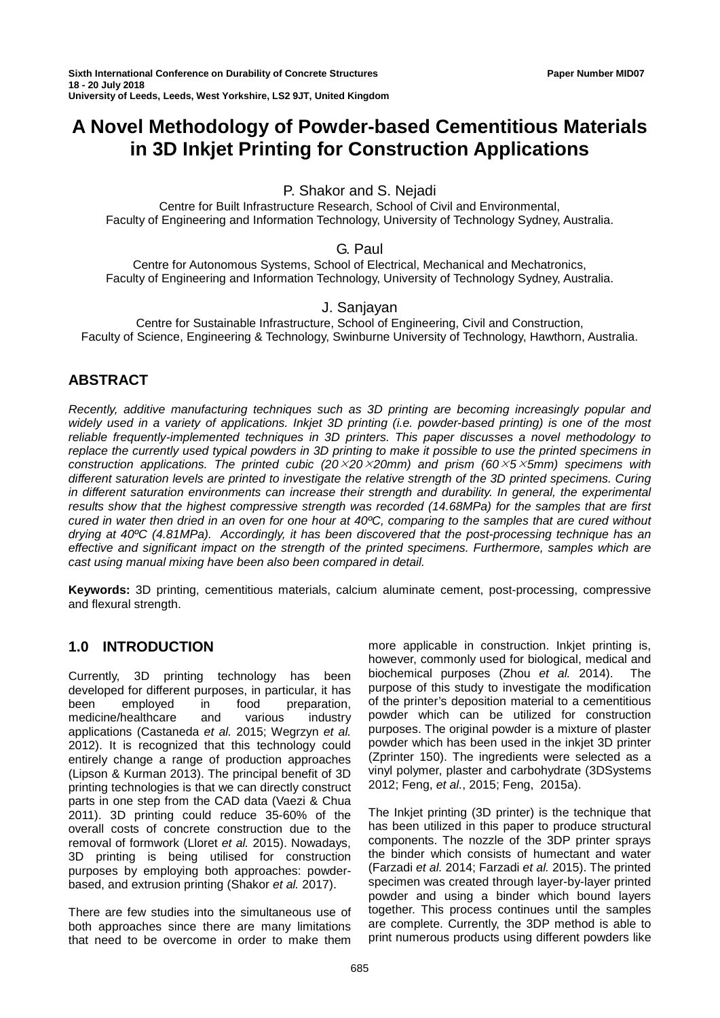# **A Novel Methodology of Powder-based Cementitious Materials in 3D Inkjet Printing for Construction Applications**

P. Shakor and S. Nejadi

Centre for Built Infrastructure Research, School of Civil and Environmental, Faculty of Engineering and Information Technology, University of Technology Sydney, Australia.

## G. Paul

Centre for Autonomous Systems, School of Electrical, Mechanical and Mechatronics, Faculty of Engineering and Information Technology, University of Technology Sydney, Australia.

## J. Sanjayan

Centre for Sustainable Infrastructure, School of Engineering, Civil and Construction, Faculty of Science, Engineering & Technology, Swinburne University of Technology, Hawthorn, Australia.

# **ABSTRACT**

*Recently, additive manufacturing techniques such as 3D printing are becoming increasingly popular and widely used in a variety of applications. Inkjet 3D printing (i.e. powder-based printing) is one of the most reliable frequently-implemented techniques in 3D printers. This paper discusses a novel methodology to replace the currently used typical powders in 3D printing to make it possible to use the printed specimens in construction applications. The printed cubic (202020mm) and prism (6055mm) specimens with different saturation levels are printed to investigate the relative strength of the 3D printed specimens. Curing* in different saturation environments can increase their strength and durability. In general, the experimental *results show that the highest compressive strength was recorded (14.68MPa) for the samples that are first cured in water then dried in an oven for one hour at 40ºC, comparing to the samples that are cured without drying at 40ºC (4.81MPa). Accordingly, it has been discovered that the post-processing technique has an effective and significant impact on the strength of the printed specimens. Furthermore, samples which are cast using manual mixing have been also been compared in detail.* 

**Keywords:** 3D printing, cementitious materials, calcium aluminate cement, post-processing, compressive and flexural strength.

# **1.0 INTRODUCTION**

Currently, 3D printing technology has been developed for different purposes, in particular, it has<br>been employed in food preparation, been employed in food preparation, medicine/healthcare and various industry applications (Castaneda *et al.* 2015; Wegrzyn *et al.* 2012). It is recognized that this technology could entirely change a range of production approaches (Lipson & Kurman 2013). The principal benefit of 3D printing technologies is that we can directly construct parts in one step from the CAD data (Vaezi & Chua 2011). 3D printing could reduce 35-60% of the overall costs of concrete construction due to the removal of formwork (Lloret *et al.* 2015). Nowadays, 3D printing is being utilised for construction purposes by employing both approaches: powderbased, and extrusion printing (Shakor *et al.* 2017).

There are few studies into the simultaneous use of both approaches since there are many limitations that need to be overcome in order to make them

more applicable in construction. Inkjet printing is, however, commonly used for biological, medical and biochemical purposes (Zhou *et al.* 2014). The purpose of this study to investigate the modification of the printer's deposition material to a cementitious powder which can be utilized for construction purposes. The original powder is a mixture of plaster powder which has been used in the inkjet 3D printer (Zprinter 150). The ingredients were selected as a vinyl polymer, plaster and carbohydrate (3DSystems 2012; Feng, *et al.*, 2015; Feng, 2015a).

The Inkjet printing (3D printer) is the technique that has been utilized in this paper to produce structural components. The nozzle of the 3DP printer sprays the binder which consists of humectant and water (Farzadi *et al.* 2014; Farzadi *et al.* 2015). The printed specimen was created through layer-by-layer printed powder and using a binder which bound layers together. This process continues until the samples are complete. Currently, the 3DP method is able to print numerous products using different powders like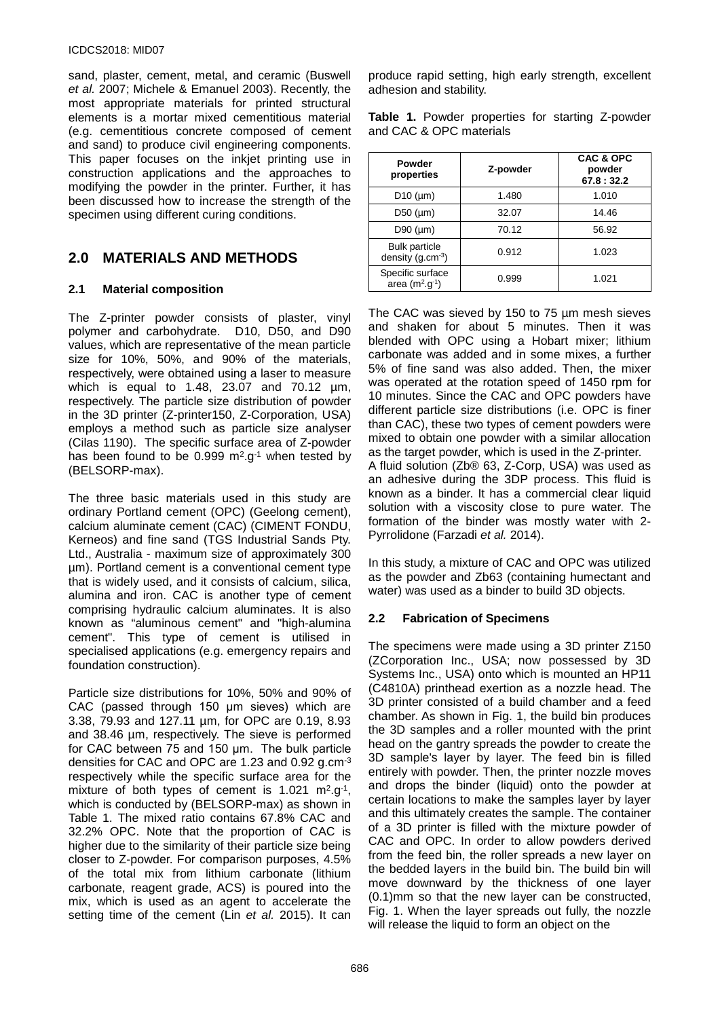#### ICDCS2018: MID07

sand, plaster, cement, metal, and ceramic (Buswell *et al.* 2007; Michele & Emanuel 2003). Recently, the most appropriate materials for printed structural elements is a mortar mixed cementitious material (e.g. cementitious concrete composed of cement and sand) to produce civil engineering components. This paper focuses on the inkjet printing use in construction applications and the approaches to modifying the powder in the printer. Further, it has been discussed how to increase the strength of the specimen using different curing conditions.

# **2.0 MATERIALS AND METHODS**

### **2.1 Material composition**

The Z-printer powder consists of plaster, vinyl polymer and carbohydrate. D10, D50, and D90 values, which are representative of the mean particle size for 10%, 50%, and 90% of the materials, respectively, were obtained using a laser to measure which is equal to 1.48, 23.07 and 70.12 µm, respectively. The particle size distribution of powder in the 3D printer (Z-printer150, Z-Corporation, USA) employs a method such as particle size analyser (Cilas 1190). The specific surface area of Z-powder has been found to be  $0.999 \text{ m}^2 \text{.} \text{g}^{-1}$  when tested by (BELSORP-max).

The three basic materials used in this study are ordinary Portland cement (OPC) (Geelong cement), calcium aluminate cement (CAC) (CIMENT FONDU, Kerneos) and fine sand (TGS Industrial Sands Pty. Ltd., Australia - maximum size of approximately 300 µm). Portland cement is a conventional cement type that is widely used, and it consists of calcium, silica, alumina and iron. CAC is another type of cement comprising hydraulic calcium aluminates. It is also known as "aluminous cement" and "high-alumina cement". This type of cement is utilised in specialised applications (e.g. emergency repairs and foundation construction).

Particle size distributions for 10%, 50% and 90% of CAC (passed through 150 μm sieves) which are 3.38, 79.93 and 127.11 µm, for OPC are 0.19, 8.93 and 38.46 µm, respectively. The sieve is performed for CAC between 75 and 150 μm. The bulk particle densities for CAC and OPC are 1.23 and 0.92 g.cm-3 respectively while the specific surface area for the mixture of both types of cement is  $1.021 \text{ m}^2 \text{.} \text{g}^{-1}$ , which is conducted by (BELSORP-max) as shown in Table 1. The mixed ratio contains 67.8% CAC and 32.2% OPC. Note that the proportion of CAC is higher due to the similarity of their particle size being closer to Z-powder. For comparison purposes, 4.5% of the total mix from lithium carbonate (lithium carbonate, reagent grade, ACS) is poured into the mix, which is used as an agent to accelerate the setting time of the cement (Lin *et al.* 2015). It can

produce rapid setting, high early strength, excellent adhesion and stability.

**Table 1.** Powder properties for starting Z-powder and CAC & OPC materials

| Powder<br>properties                          | Z-powder | <b>CAC &amp; OPC</b><br>powder<br>67.8:32.2 |  |
|-----------------------------------------------|----------|---------------------------------------------|--|
| D <sub>10</sub> ( $\mu$ m)                    | 1.480    | 1.010                                       |  |
| $D50$ ( $\mu$ m)                              | 32.07    | 14.46                                       |  |
| D90 $(\mu m)$                                 | 70.12    | 56.92                                       |  |
| <b>Bulk particle</b><br>density $(g.cm^{-3})$ | 0.912    | 1.023                                       |  |
| Specific surface<br>area $(m^2.g^{-1})$       | 0.999    | 1.021                                       |  |

The CAC was sieved by 150 to 75 µm mesh sieves and shaken for about 5 minutes. Then it was blended with OPC using a Hobart mixer; lithium carbonate was added and in some mixes, a further 5% of fine sand was also added. Then, the mixer was operated at the rotation speed of 1450 rpm for 10 minutes. Since the CAC and OPC powders have different particle size distributions (i.e. OPC is finer than CAC), these two types of cement powders were mixed to obtain one powder with a similar allocation as the target powder, which is used in the Z-printer. A fluid solution (Zb® 63, Z-Corp, USA) was used as an adhesive during the 3DP process. This fluid is known as a binder. It has a commercial clear liquid solution with a viscosity close to pure water. The formation of the binder was mostly water with 2- Pyrrolidone (Farzadi *et al.* 2014).

In this study, a mixture of CAC and OPC was utilized as the powder and Zb63 (containing humectant and water) was used as a binder to build 3D objects.

## **2.2 Fabrication of Specimens**

The specimens were made using a 3D printer Z150 (ZCorporation Inc., USA; now possessed by 3D Systems Inc., USA) onto which is mounted an HP11 (C4810A) printhead exertion as a nozzle head. The 3D printer consisted of a build chamber and a feed chamber. As shown in Fig. 1, the build bin produces the 3D samples and a roller mounted with the print head on the gantry spreads the powder to create the 3D sample's layer by layer. The feed bin is filled entirely with powder. Then, the printer nozzle moves and drops the binder (liquid) onto the powder at certain locations to make the samples layer by layer and this ultimately creates the sample. The container of a 3D printer is filled with the mixture powder of CAC and OPC. In order to allow powders derived from the feed bin, the roller spreads a new layer on the bedded layers in the build bin. The build bin will move downward by the thickness of one layer (0.1)mm so that the new layer can be constructed, Fig. 1. When the layer spreads out fully, the nozzle will release the liquid to form an object on the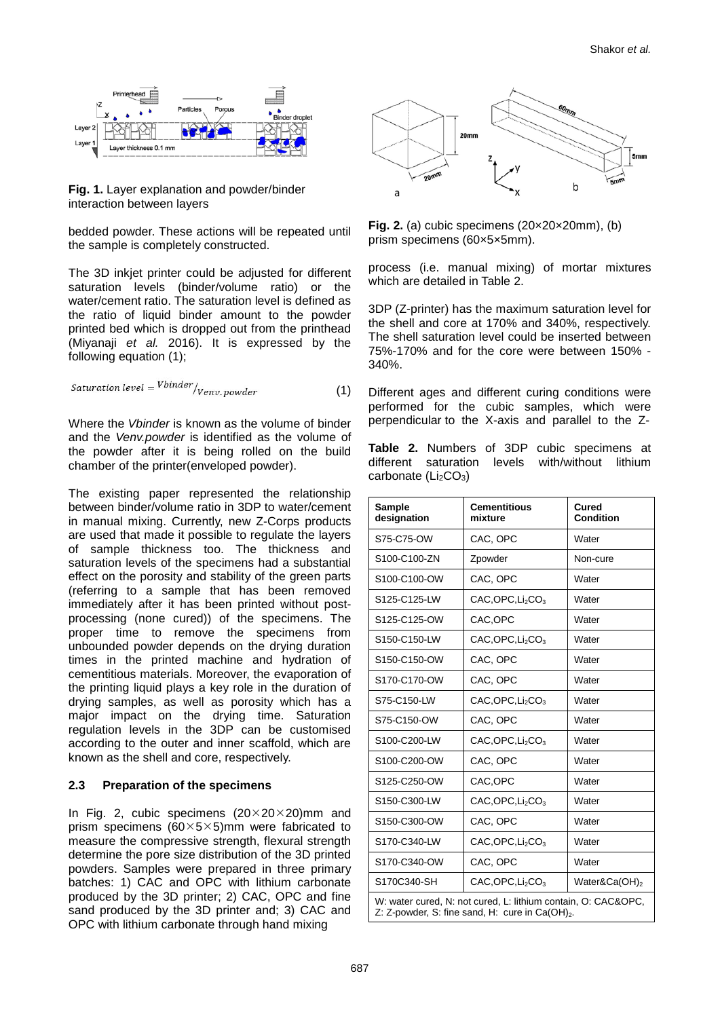

**Fig. 1.** Layer explanation and powder/binder interaction between layers

bedded powder. These actions will be repeated until the sample is completely constructed.

The 3D inkjet printer could be adjusted for different saturation levels (binder/volume ratio) or the water/cement ratio. The saturation level is defined as the ratio of liquid binder amount to the powder printed bed which is dropped out from the printhead (Miyanaji *et al.* 2016). It is expressed by the following equation (1);

*Saturation level* = 
$$
\frac{V \text{binder}}{V \text{env. powder}}
$$
 (1)

Where the *Vbinder* is known as the volume of binder and the *Venv.powder* is identified as the volume of the powder after it is being rolled on the build chamber of the printer(enveloped powder).

The existing paper represented the relationship between binder/volume ratio in 3DP to water/cement in manual mixing. Currently, new Z-Corps products are used that made it possible to regulate the layers of sample thickness too. The thickness and saturation levels of the specimens had a substantial effect on the porosity and stability of the green parts (referring to a sample that has been removed immediately after it has been printed without postprocessing (none cured)) of the specimens. The proper time to remove the specimens from unbounded powder depends on the drying duration times in the printed machine and hydration of cementitious materials. Moreover, the evaporation of the printing liquid plays a key role in the duration of drying samples, as well as porosity which has a major impact on the drying time. Saturation regulation levels in the 3DP can be customised according to the outer and inner scaffold, which are known as the shell and core, respectively.

#### **2.3 Preparation of the specimens**

In Fig. 2, cubic specimens  $(20 \times 20 \times 20)$ mm and prism specimens (60 $\times$ 5 $\times$ 5)mm were fabricated to measure the compressive strength, flexural strength determine the pore size distribution of the 3D printed powders. Samples were prepared in three primary batches: 1) CAC and OPC with lithium carbonate produced by the 3D printer; 2) CAC, OPC and fine sand produced by the 3D printer and; 3) CAC and OPC with lithium carbonate through hand mixing



**Fig. 2.** (a) cubic specimens (20×20×20mm), (b) prism specimens (60×5×5mm).

process (i.e. manual mixing) of mortar mixtures which are detailed in Table 2.

3DP (Z-printer) has the maximum saturation level for the shell and core at 170% and 340%, respectively. The shell saturation level could be inserted between 75%-170% and for the core were between 150% - 340%.

Different ages and different curing conditions were performed for the cubic samples, which were perpendicular to the X-axis and parallel to the Z-

**Table 2.** Numbers of 3DP cubic specimens at different saturation levels with/without lithium carbonate  $(Li<sub>2</sub>CO<sub>3</sub>)$ 

| <b>Sample</b><br>designation | <b>Cementitious</b><br>mixture           | Cured<br><b>Condition</b> |  |
|------------------------------|------------------------------------------|---------------------------|--|
| S75-C75-OW                   | CAC, OPC                                 | Water                     |  |
| S100-C100-ZN                 | Zpowder                                  | Non-cure                  |  |
| S100-C100-OW                 | CAC, OPC                                 | Water                     |  |
| S125-C125-LW                 | CAC,OPC, Li <sub>2</sub> CO <sub>3</sub> | Water                     |  |
| S125-C125-OW                 | CAC, OPC                                 | Water                     |  |
| S150-C150-LW                 | CAC,OPC, Li <sub>2</sub> CO <sub>3</sub> | Water                     |  |
| S150-C150-OW                 | CAC, OPC                                 | Water                     |  |
| S170-C170-OW                 | CAC, OPC                                 | Water                     |  |
| S75-C150-LW                  | CAC,OPC, Li <sub>2</sub> CO <sub>3</sub> | Water                     |  |
| S75-C150-OW                  | CAC, OPC                                 | Water                     |  |
| S100-C200-LW                 | CAC,OPC, Li <sub>2</sub> CO <sub>3</sub> | Water                     |  |
| S100-C200-OW                 | CAC, OPC                                 | Water                     |  |
| S125-C250-OW                 | CAC, OPC                                 | Water                     |  |
| S150-C300-LW                 | CAC,OPC, Li <sub>2</sub> CO <sub>3</sub> | Water                     |  |
| S150-C300-OW                 | CAC, OPC                                 | Water                     |  |
| S170-C340-LW                 | CAC,OPC, Li <sub>2</sub> CO <sub>3</sub> | Water                     |  |
| S170-C340-OW                 | CAC, OPC                                 | Water                     |  |
| S170C340-SH                  | CAC,OPC, Li <sub>2</sub> CO <sub>3</sub> | Water&Ca(OH) <sub>2</sub> |  |

W: water cured, N: not cured, L: lithium contain, O: CAC&OPC, Z: Z-powder, S: fine sand, H: cure in  $Ca(OH)_{2}$ .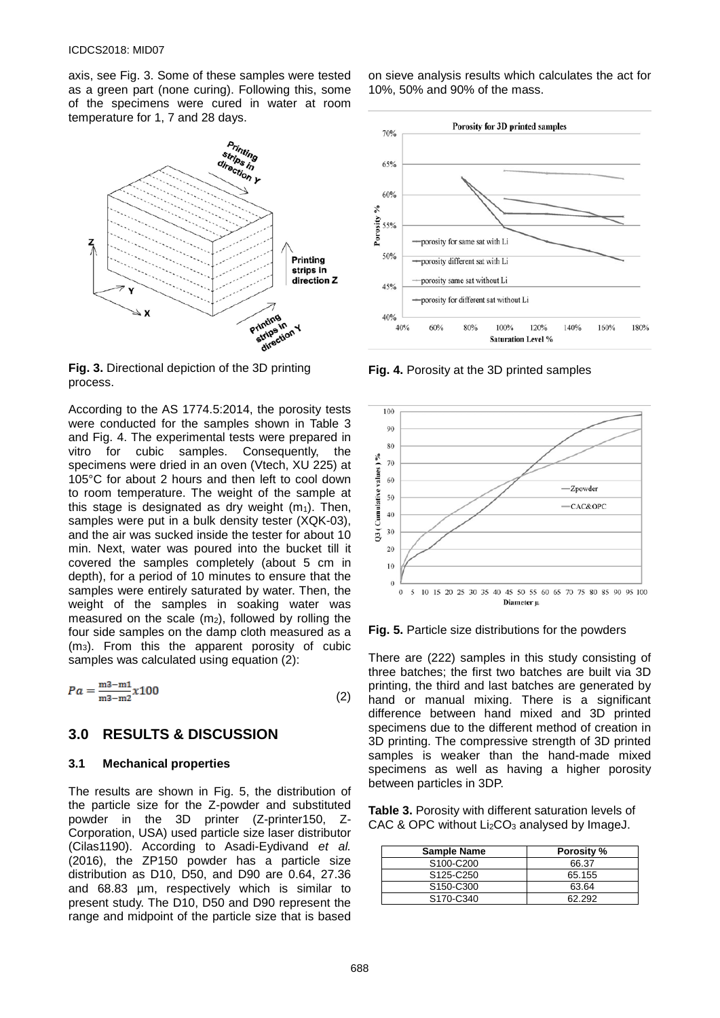axis, see Fig. 3. Some of these samples were tested as a green part (none curing). Following this, some of the specimens were cured in water at room temperature for 1, 7 and 28 days.



**Fig. 3.** Directional depiction of the 3D printing process.

According to the AS 1774.5:2014, the porosity tests were conducted for the samples shown in Table 3 and Fig. 4. The experimental tests were prepared in vitro for cubic samples. Consequently, the specimens were dried in an oven (Vtech, XU 225) at 105°C for about 2 hours and then left to cool down to room temperature. The weight of the sample at this stage is designated as dry weight  $(m_1)$ . Then, samples were put in a bulk density tester (XQK-03), and the air was sucked inside the tester for about 10 min. Next, water was poured into the bucket till it covered the samples completely (about 5 cm in depth), for a period of 10 minutes to ensure that the samples were entirely saturated by water. Then, the weight of the samples in soaking water was measured on the scale  $(m<sub>2</sub>)$ , followed by rolling the four side samples on the damp cloth measured as a (m3). From this the apparent porosity of cubic samples was calculated using equation (2):

$$
Pa = \frac{m3 - m1}{m3 - m2} \times 100
$$
 (2)

## **3.0 RESULTS & DISCUSSION**

#### **3.1 Mechanical properties**

The results are shown in Fig. 5, the distribution of the particle size for the Z-powder and substituted powder in the 3D printer (Z-printer150, Z-Corporation, USA) used particle size laser distributor (Cilas1190). According to Asadi-Eydivand *et al.* (2016), the ZP150 powder has a particle size distribution as D10, D50, and D90 are 0.64, 27.36 and 68.83 µm, respectively which is similar to present study. The D10, D50 and D90 represent the range and midpoint of the particle size that is based on sieve analysis results which calculates the act for 10%, 50% and 90% of the mass.



**Fig. 4.** Porosity at the 3D printed samples



**Fig. 5.** Particle size distributions for the powders

There are (222) samples in this study consisting of three batches; the first two batches are built via 3D printing, the third and last batches are generated by hand or manual mixing. There is a significant difference between hand mixed and 3D printed specimens due to the different method of creation in 3D printing. The compressive strength of 3D printed samples is weaker than the hand-made mixed specimens as well as having a higher porosity between particles in 3DP.

**Table 3.** Porosity with different saturation levels of CAC & OPC without Li<sub>2</sub>CO<sub>3</sub> analysed by ImageJ.

| <b>Sample Name</b>                 | Porosity % |
|------------------------------------|------------|
| S <sub>100</sub> -C <sub>200</sub> | 66.37      |
| S <sub>125</sub> -C <sub>250</sub> | 65.155     |
| S <sub>150</sub> -C <sub>300</sub> | 63.64      |
| S <sub>170</sub> -C <sub>340</sub> | R2 292     |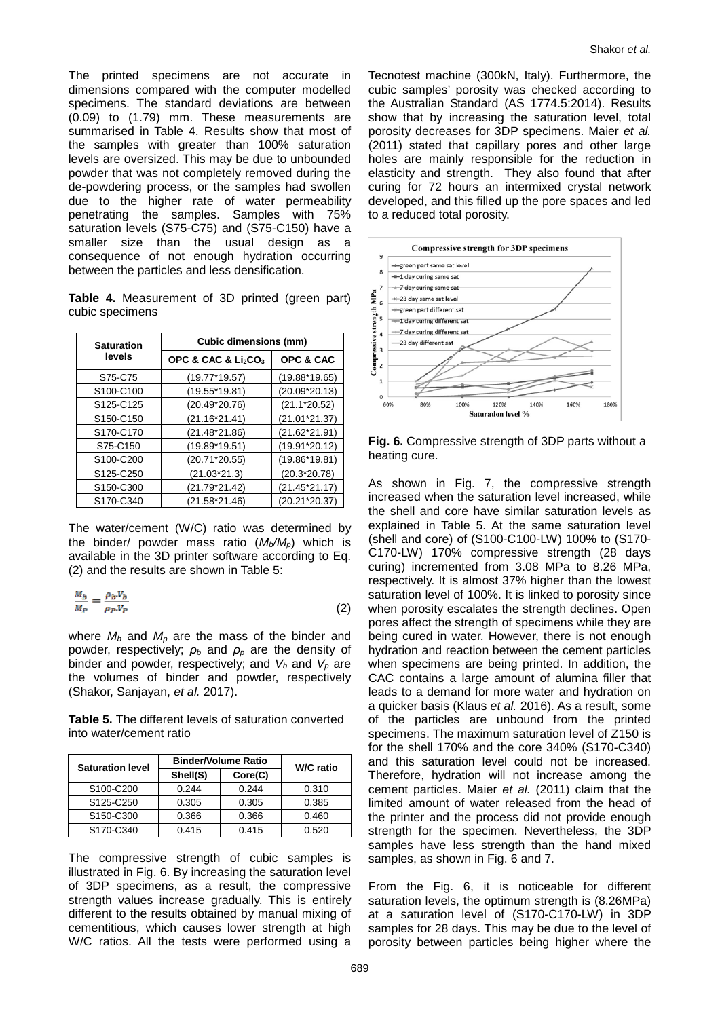The printed specimens are not accurate in dimensions compared with the computer modelled specimens. The standard deviations are between (0.09) to (1.79) mm. These measurements are summarised in Table 4. Results show that most of the samples with greater than 100% saturation levels are oversized. This may be due to unbounded powder that was not completely removed during the de-powdering process, or the samples had swollen due to the higher rate of water permeability penetrating the samples. Samples with 75% saturation levels (S75-C75) and (S75-C150) have a smaller size than the usual design as a consequence of not enough hydration occurring between the particles and less densification.

**Table 4.** Measurement of 3D printed (green part) cubic specimens

| <b>Saturation</b>                  | <b>Cubic dimensions (mm)</b>                |                 |  |
|------------------------------------|---------------------------------------------|-----------------|--|
| levels                             | OPC & CAC & Li <sub>2</sub> CO <sub>3</sub> | OPC & CAC       |  |
| S75-C75                            | (19.77*19.57)                               | $(19.88*19.65)$ |  |
| S100-C100                          | $(19.55*19.81)$                             | $(20.09*20.13)$ |  |
| S125-C125                          | (20.49*20.76)                               | $(21.1*20.52)$  |  |
| S150-C150                          | (21.16*21.41)                               | $(21.01*21.37)$ |  |
| S170-C170                          | (21.48*21.86)                               | $(21.62*21.91)$ |  |
| S75-C150                           | $(19.89*19.51)$                             | $(19.91*20.12)$ |  |
| S <sub>100</sub> -C <sub>200</sub> | (20.71*20.55)                               | $(19.86*19.81)$ |  |
| S <sub>125</sub> -C <sub>250</sub> | $(21.03*21.3)$                              | $(20.3*20.78)$  |  |
| S <sub>150</sub> -C <sub>300</sub> | (21.79*21.42)                               | $(21.45*21.17)$ |  |
| S170-C340                          | (21.58*21.46)                               | $(20.21*20.37)$ |  |

The water/cement (W/C) ratio was determined by the binder/ powder mass ratio  $(M_b/M_p)$  which is available in the 3D printer software according to Eq. (2) and the results are shown in Table 5:

$$
\frac{M_b}{M_p} = \frac{\rho_b V_b}{\rho_p V_p} \tag{2}
$$

where *Mb* and *Mp* are the mass of the binder and powder, respectively; *ρ<sup>b</sup>* and *ρ<sup>p</sup>* are the density of binder and powder, respectively; and  $V_b$  and  $V_p$  are the volumes of binder and powder, respectively (Shakor, Sanjayan, *et al.* 2017).

**Table 5.** The different levels of saturation converted into water/cement ratio

| <b>Saturation level</b>            | <b>Binder/Volume Ratio</b> |         | <b>W/C</b> ratio |  |
|------------------------------------|----------------------------|---------|------------------|--|
|                                    | Shell(S)                   | Core(C) |                  |  |
| S100-C200                          | 0.244                      | 0.244   | 0.310            |  |
| S125-C250                          | 0.305                      | 0.305   | 0.385            |  |
| S <sub>150</sub> -C <sub>300</sub> | 0.366                      | 0.366   | 0.460            |  |
| S <sub>170</sub> -C <sub>340</sub> | 0.415                      | 0.415   | 0.520            |  |

The compressive strength of cubic samples is illustrated in Fig. 6. By increasing the saturation level of 3DP specimens, as a result, the compressive strength values increase gradually. This is entirely different to the results obtained by manual mixing of cementitious, which causes lower strength at high W/C ratios. All the tests were performed using a

Tecnotest machine (300kN, Italy). Furthermore, the cubic samples' porosity was checked according to the Australian Standard (AS 1774.5:2014). Results show that by increasing the saturation level, total porosity decreases for 3DP specimens. Maier *et al.* (2011) stated that capillary pores and other large holes are mainly responsible for the reduction in elasticity and strength. They also found that after curing for 72 hours an intermixed crystal network developed, and this filled up the pore spaces and led to a reduced total porosity.



**Fig. 6.** Compressive strength of 3DP parts without a heating cure.

As shown in Fig. 7, the compressive strength increased when the saturation level increased, while the shell and core have similar saturation levels as explained in Table 5. At the same saturation level (shell and core) of (S100-C100-LW) 100% to (S170- C170-LW) 170% compressive strength (28 days curing) incremented from 3.08 MPa to 8.26 MPa, respectively. It is almost 37% higher than the lowest saturation level of 100%. It is linked to porosity since when porosity escalates the strength declines. Open pores affect the strength of specimens while they are being cured in water. However, there is not enough hydration and reaction between the cement particles when specimens are being printed. In addition, the CAC contains a large amount of alumina filler that leads to a demand for more water and hydration on a quicker basis (Klaus *et al.* 2016). As a result, some of the particles are unbound from the printed specimens. The maximum saturation level of Z150 is for the shell 170% and the core 340% (S170-C340) and this saturation level could not be increased. Therefore, hydration will not increase among the cement particles. Maier *et al.* (2011) claim that the limited amount of water released from the head of the printer and the process did not provide enough strength for the specimen. Nevertheless, the 3DP samples have less strength than the hand mixed samples, as shown in Fig. 6 and 7.

From the Fig. 6, it is noticeable for different saturation levels, the optimum strength is (8.26MPa) at a saturation level of (S170-C170-LW) in 3DP samples for 28 days. This may be due to the level of porosity between particles being higher where the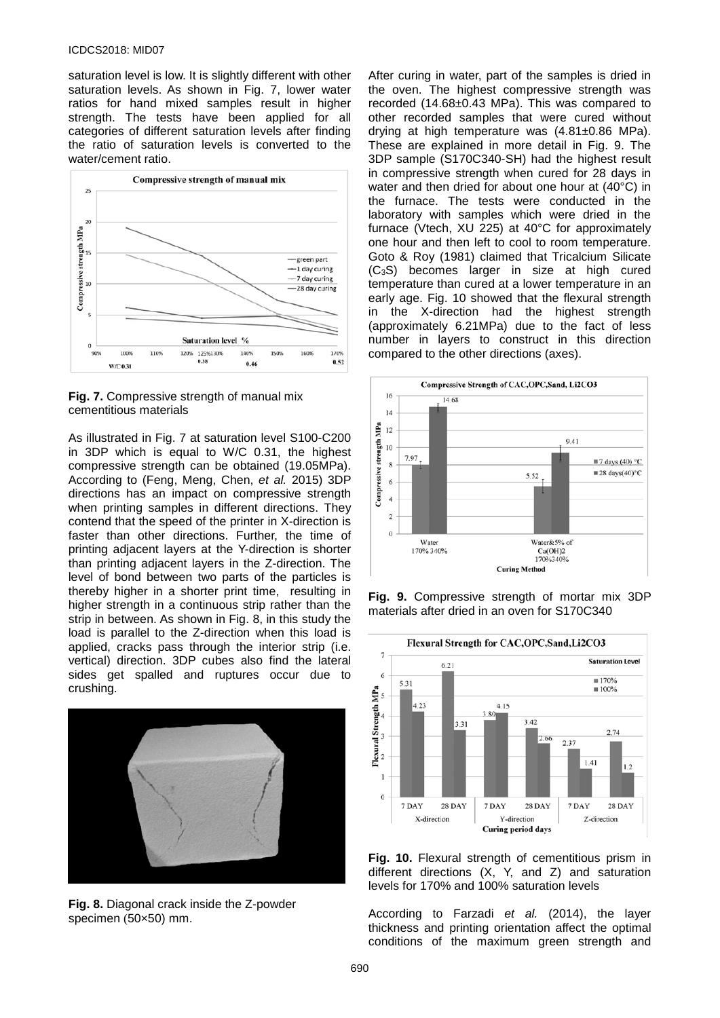#### ICDCS2018: MID07

saturation level is low. It is slightly different with other saturation levels. As shown in Fig. 7, lower water ratios for hand mixed samples result in higher strength. The tests have been applied for all categories of different saturation levels after finding the ratio of saturation levels is converted to the water/cement ratio.





As illustrated in Fig. 7 at saturation level S100-C200 in 3DP which is equal to W/C 0.31, the highest compressive strength can be obtained (19.05MPa). According to (Feng, Meng, Chen, *et al.* 2015) 3DP directions has an impact on compressive strength when printing samples in different directions. They contend that the speed of the printer in X-direction is faster than other directions. Further, the time of printing adjacent layers at the Y-direction is shorter than printing adjacent layers in the Z-direction. The level of bond between two parts of the particles is thereby higher in a shorter print time, resulting in higher strength in a continuous strip rather than the strip in between. As shown in Fig. 8, in this study the load is parallel to the Z-direction when this load is applied, cracks pass through the interior strip (i.e. vertical) direction. 3DP cubes also find the lateral sides get spalled and ruptures occur due to crushing.



**Fig. 8.** Diagonal crack inside the Z-powder specimen (50×50) mm.

After curing in water, part of the samples is dried in the oven. The highest compressive strength was recorded (14.68±0.43 MPa). This was compared to other recorded samples that were cured without drying at high temperature was (4.81±0.86 MPa). These are explained in more detail in Fig. 9. The 3DP sample (S170C340-SH) had the highest result in compressive strength when cured for 28 days in water and then dried for about one hour at (40°C) in the furnace. The tests were conducted in the laboratory with samples which were dried in the furnace (Vtech, XU 225) at 40°C for approximately one hour and then left to cool to room temperature. Goto & Roy (1981) claimed that Tricalcium Silicate (C3S) becomes larger in size at high cured temperature than cured at a lower temperature in an early age. Fig. 10 showed that the flexural strength the X-direction had the highest strength (approximately 6.21MPa) due to the fact of less number in layers to construct in this direction compared to the other directions (axes).



**Fig. 9.** Compressive strength of mortar mix 3DP materials after dried in an oven for S170C340



**Fig. 10.** Flexural strength of cementitious prism in different directions (X, Y, and Z) and saturation levels for 170% and 100% saturation levels

According to Farzadi *et al.* (2014), the layer thickness and printing orientation affect the optimal conditions of the maximum green strength and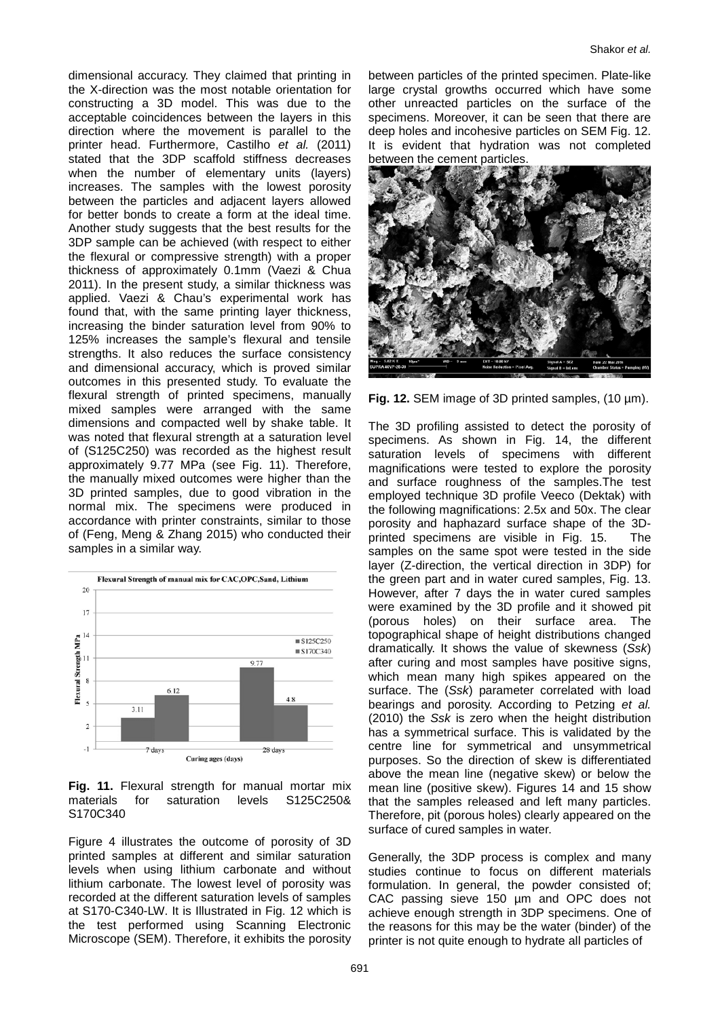dimensional accuracy. They claimed that printing in the X-direction was the most notable orientation for constructing a 3D model. This was due to the acceptable coincidences between the layers in this direction where the movement is parallel to the printer head. Furthermore, Castilho *et al.* (2011) stated that the 3DP scaffold stiffness decreases when the number of elementary units (layers) increases. The samples with the lowest porosity between the particles and adjacent layers allowed for better bonds to create a form at the ideal time. Another study suggests that the best results for the 3DP sample can be achieved (with respect to either the flexural or compressive strength) with a proper thickness of approximately 0.1mm (Vaezi & Chua 2011). In the present study, a similar thickness was applied. Vaezi & Chau's experimental work has found that, with the same printing layer thickness, increasing the binder saturation level from 90% to 125% increases the sample's flexural and tensile strengths. It also reduces the surface consistency and dimensional accuracy, which is proved similar outcomes in this presented study. To evaluate the flexural strength of printed specimens, manually mixed samples were arranged with the same dimensions and compacted well by shake table. It was noted that flexural strength at a saturation level of (S125C250) was recorded as the highest result approximately 9.77 MPa (see Fig. 11). Therefore, the manually mixed outcomes were higher than the 3D printed samples, due to good vibration in the normal mix. The specimens were produced in accordance with printer constraints, similar to those of (Feng, Meng & Zhang 2015) who conducted their samples in a similar way.



**Fig. 11.** Flexural strength for manual mortar mix materials for saturation levels S125C250& S170C340

Figure 4 illustrates the outcome of porosity of 3D printed samples at different and similar saturation levels when using lithium carbonate and without lithium carbonate. The lowest level of porosity was recorded at the different saturation levels of samples at S170-C340-LW. It is Illustrated in Fig. 12 which is the test performed using Scanning Electronic Microscope (SEM). Therefore, it exhibits the porosity

between particles of the printed specimen. Plate-like large crystal growths occurred which have some other unreacted particles on the surface of the specimens. Moreover, it can be seen that there are deep holes and incohesive particles on SEM Fig. 12. It is evident that hydration was not completed between the cement particles.



**Fig. 12.** SEM image of 3D printed samples, (10 µm).

The 3D profiling assisted to detect the porosity of specimens. As shown in Fig. 14, the different saturation levels of specimens with different magnifications were tested to explore the porosity and surface roughness of the samples.The test employed technique 3D profile Veeco (Dektak) with the following magnifications: 2.5x and 50x. The clear porosity and haphazard surface shape of the 3Dprinted specimens are visible in Fig. 15. The samples on the same spot were tested in the side layer (Z-direction, the vertical direction in 3DP) for the green part and in water cured samples, Fig. 13. However, after 7 days the in water cured samples were examined by the 3D profile and it showed pit (porous holes) on their surface area. The topographical shape of height distributions changed dramatically. It shows the value of skewness (*Ssk*) after curing and most samples have positive signs, which mean many high spikes appeared on the surface. The (*Ssk*) parameter correlated with load bearings and porosity. According to Petzing *et al.* (2010) the *Ssk* is zero when the height distribution has a symmetrical surface. This is validated by the centre line for symmetrical and unsymmetrical purposes. So the direction of skew is differentiated above the mean line (negative skew) or below the mean line (positive skew). Figures 14 and 15 show that the samples released and left many particles. Therefore, pit (porous holes) clearly appeared on the surface of cured samples in water.

Generally, the 3DP process is complex and many studies continue to focus on different materials formulation. In general, the powder consisted of; CAC passing sieve 150 µm and OPC does not achieve enough strength in 3DP specimens. One of the reasons for this may be the water (binder) of the printer is not quite enough to hydrate all particles of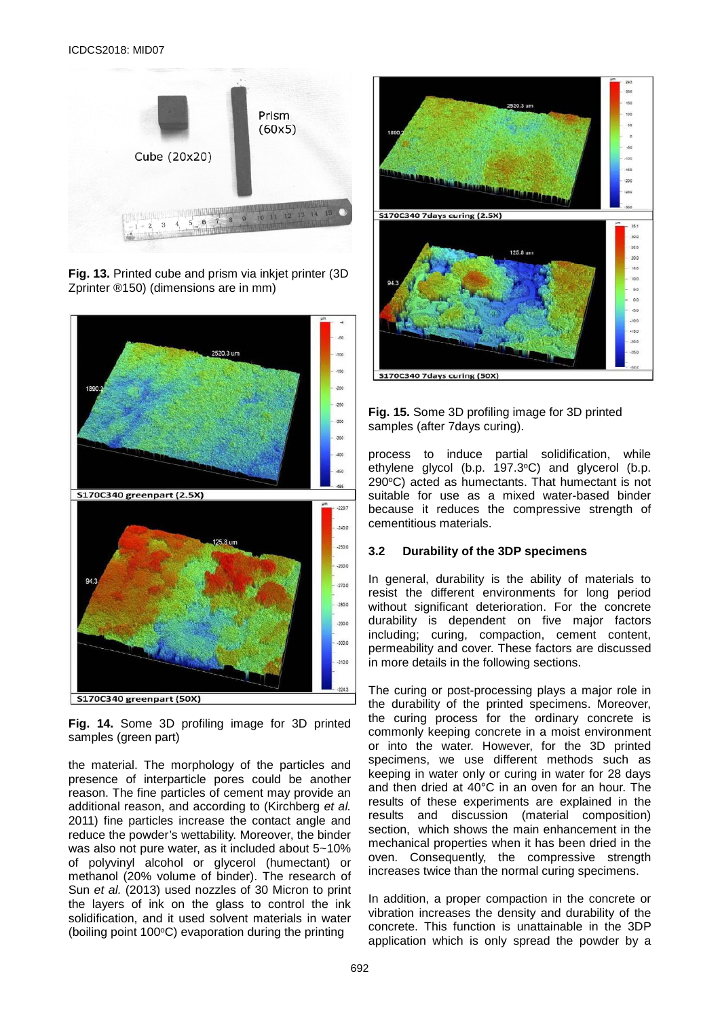

**Fig. 13.** Printed cube and prism via inkjet printer (3D Zprinter ®150) (dimensions are in mm)



**Fig. 14.** Some 3D profiling image for 3D printed samples (green part)

the material. The morphology of the particles and presence of interparticle pores could be another reason. The fine particles of cement may provide an additional reason, and according to (Kirchberg *et al.* 2011) fine particles increase the contact angle and reduce the powder's wettability. Moreover, the binder was also not pure water, as it included about 5~10% of polyvinyl alcohol or glycerol (humectant) or methanol (20% volume of binder). The research of Sun *et al.* (2013) used nozzles of 30 Micron to print the layers of ink on the glass to control the ink solidification, and it used solvent materials in water (boiling point  $100^{\circ}$ C) evaporation during the printing



#### **Fig. 15.** Some 3D profiling image for 3D printed samples (after 7days curing).

process to induce partial solidification, while ethylene glycol (b.p. 197.3°C) and glycerol (b.p.  $290^{\circ}$ C) acted as humectants. That humectant is not suitable for use as a mixed water-based binder because it reduces the compressive strength of cementitious materials.

#### **3.2 Durability of the 3DP specimens**

In general, durability is the ability of materials to resist the different environments for long period without significant deterioration. For the concrete durability is dependent on five major factors including; curing, compaction, cement content, permeability and cover. These factors are discussed in more details in the following sections.

The curing or post-processing plays a major role in the durability of the printed specimens. Moreover, the curing process for the ordinary concrete is commonly keeping concrete in a moist environment or into the water. However, for the 3D printed specimens, we use different methods such as keeping in water only or curing in water for 28 days and then dried at 40°C in an oven for an hour. The results of these experiments are explained in the results and discussion (material composition) section, which shows the main enhancement in the mechanical properties when it has been dried in the oven. Consequently, the compressive strength increases twice than the normal curing specimens.

In addition, a proper compaction in the concrete or vibration increases the density and durability of the concrete. This function is unattainable in the 3DP application which is only spread the powder by a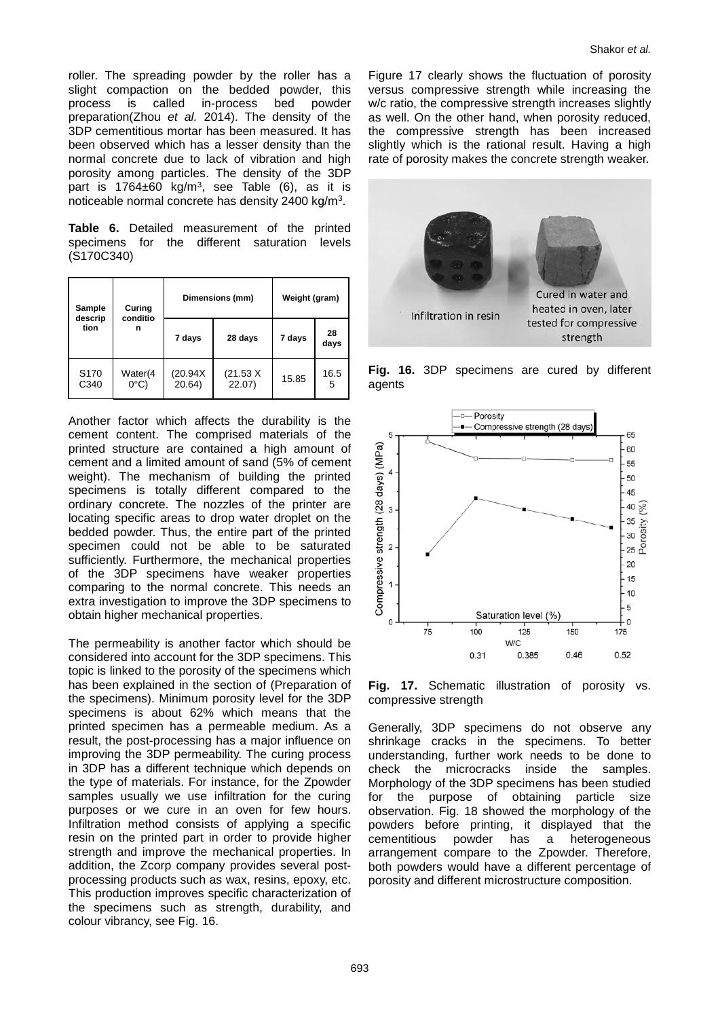roller. The spreading powder by the roller has a slight compaction on the bedded powder, this<br>process is called in-process bed powder called in-process bed powder preparation(Zhou *et al.* 2014). The density of the 3DP cementitious mortar has been measured. It has been observed which has a lesser density than the normal concrete due to lack of vibration and high porosity among particles. The density of the 3DP part is  $1764 \pm 60$  kg/m<sup>3</sup>, see Table (6), as it is noticeable normal concrete has density 2400 kg/m3.

**Table 6.** Detailed measurement of the printed specimens for the different saturation levels (S170C340)

| Curing<br>Sample<br>conditio<br>descrip<br>tion<br>n | Dimensions (mm)           |                    | Weight (gram)      |        |            |
|------------------------------------------------------|---------------------------|--------------------|--------------------|--------|------------|
|                                                      |                           | 7 days             | 28 days            | 7 days | 28<br>days |
| S <sub>170</sub><br>C340                             | Water(4<br>$0^{\circ}$ C) | (20.94X)<br>20.64) | (21.53 X)<br>22.07 | 15.85  | 16.5<br>5  |

Another factor which affects the durability is the cement content. The comprised materials of the printed structure are contained a high amount of cement and a limited amount of sand (5% of cement weight). The mechanism of building the printed specimens is totally different compared to the ordinary concrete. The nozzles of the printer are locating specific areas to drop water droplet on the bedded powder. Thus, the entire part of the printed specimen could not be able to be saturated sufficiently. Furthermore, the mechanical properties of the 3DP specimens have weaker properties comparing to the normal concrete. This needs an extra investigation to improve the 3DP specimens to obtain higher mechanical properties.

The permeability is another factor which should be considered into account for the 3DP specimens. This topic is linked to the porosity of the specimens which has been explained in the section of (Preparation of the specimens). Minimum porosity level for the 3DP specimens is about 62% which means that the printed specimen has a permeable medium. As a result, the post-processing has a major influence on improving the 3DP permeability. The curing process in 3DP has a different technique which depends on the type of materials. For instance, for the Zpowder samples usually we use infiltration for the curing purposes or we cure in an oven for few hours. Infiltration method consists of applying a specific resin on the printed part in order to provide higher strength and improve the mechanical properties. In addition, the Zcorp company provides several postprocessing products such as wax, resins, epoxy, etc. This production improves specific characterization of the specimens such as strength, durability, and colour vibrancy, see Fig. 16.

Figure 17 clearly shows the fluctuation of porosity versus compressive strength while increasing the w/c ratio, the compressive strength increases slightly as well. On the other hand, when porosity reduced, the compressive strength has been increased slightly which is the rational result. Having a high rate of porosity makes the concrete strength weaker.



**Fig. 16.** 3DP specimens are cured by different agents

strength



**Fig. 17.** Schematic illustration of porosity vs. compressive strength

Generally, 3DP specimens do not observe any shrinkage cracks in the specimens. To better understanding, further work needs to be done to check the microcracks inside the samples. Morphology of the 3DP specimens has been studied for the purpose of obtaining particle size observation. Fig. 18 showed the morphology of the powders before printing, it displayed that the cementitious powder has arrangement compare to the Zpowder. Therefore, both powders would have a different percentage of porosity and different microstructure composition.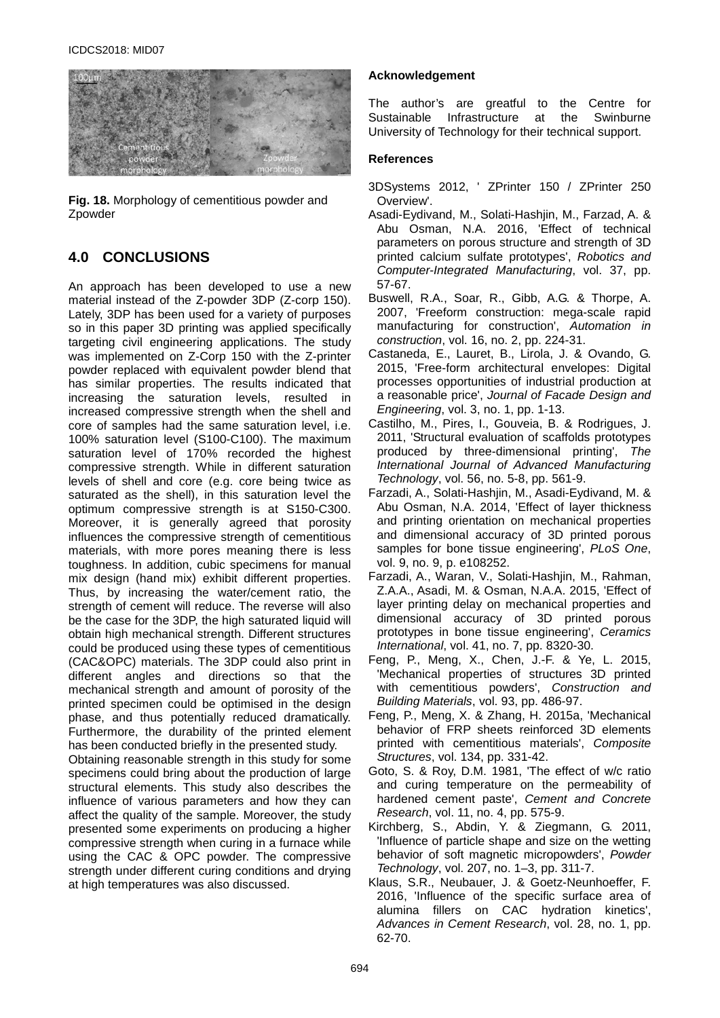

**Fig. 18.** Morphology of cementitious powder and Zpowder

# **4.0 CONCLUSIONS**

An approach has been developed to use a new material instead of the Z-powder 3DP (Z-corp 150). Lately, 3DP has been used for a variety of purposes so in this paper 3D printing was applied specifically targeting civil engineering applications. The study was implemented on Z-Corp 150 with the Z-printer powder replaced with equivalent powder blend that has similar properties. The results indicated that increasing the saturation levels, resulted in increased compressive strength when the shell and core of samples had the same saturation level, i.e. 100% saturation level (S100-C100). The maximum saturation level of 170% recorded the highest compressive strength. While in different saturation levels of shell and core (e.g. core being twice as saturated as the shell), in this saturation level the optimum compressive strength is at S150-C300. Moreover, it is generally agreed that porosity influences the compressive strength of cementitious materials, with more pores meaning there is less toughness. In addition, cubic specimens for manual mix design (hand mix) exhibit different properties. Thus, by increasing the water/cement ratio, the strength of cement will reduce. The reverse will also be the case for the 3DP, the high saturated liquid will obtain high mechanical strength. Different structures could be produced using these types of cementitious (CAC&OPC) materials. The 3DP could also print in different angles and directions so that the mechanical strength and amount of porosity of the printed specimen could be optimised in the design phase, and thus potentially reduced dramatically. Furthermore, the durability of the printed element has been conducted briefly in the presented study.

Obtaining reasonable strength in this study for some specimens could bring about the production of large structural elements. This study also describes the influence of various parameters and how they can affect the quality of the sample. Moreover, the study presented some experiments on producing a higher compressive strength when curing in a furnace while using the CAC & OPC powder. The compressive strength under different curing conditions and drying at high temperatures was also discussed.

#### **Acknowledgement**

The author's are greatful to the Centre for<br>Sustainable Infrastructure at the Swinburne [Sustainable Infrastructure](http://www.swinburne.edu.au/science-engineering-technology/csi/) at University of Technology for their technical support.

#### **References**

- 3DSystems 2012, ' ZPrinter 150 / ZPrinter 250 Overview'.
- Asadi-Eydivand, M., Solati-Hashjin, M., Farzad, A. & Abu Osman, N.A. 2016, 'Effect of technical parameters on porous structure and strength of 3D printed calcium sulfate prototypes', *Robotics and Computer-Integrated Manufacturing*, vol. 37, pp. 57-67.
- Buswell, R.A., Soar, R., Gibb, A.G. & Thorpe, A. 2007, 'Freeform construction: mega-scale rapid manufacturing for construction', *Automation in construction*, vol. 16, no. 2, pp. 224-31.
- Castaneda, E., Lauret, B., Lirola, J. & Ovando, G. 2015, 'Free-form architectural envelopes: Digital processes opportunities of industrial production at a reasonable price', *Journal of Facade Design and Engineering*, vol. 3, no. 1, pp. 1-13.
- Castilho, M., Pires, I., Gouveia, B. & Rodrigues, J. 2011, 'Structural evaluation of scaffolds prototypes produced by three-dimensional printing', *The International Journal of Advanced Manufacturing Technology*, vol. 56, no. 5-8, pp. 561-9.
- Farzadi, A., Solati-Hashjin, M., Asadi-Eydivand, M. & Abu Osman, N.A. 2014, 'Effect of layer thickness and printing orientation on mechanical properties and dimensional accuracy of 3D printed porous samples for bone tissue engineering', *PLoS One*, vol. 9, no. 9, p. e108252.
- Farzadi, A., Waran, V., Solati-Hashjin, M., Rahman, Z.A.A., Asadi, M. & Osman, N.A.A. 2015, 'Effect of layer printing delay on mechanical properties and dimensional accuracy of 3D printed porous prototypes in bone tissue engineering', *Ceramics International*, vol. 41, no. 7, pp. 8320-30.
- Feng, P., Meng, X., Chen, J.-F. & Ye, L. 2015, 'Mechanical properties of structures 3D printed with cementitious powders', *Construction and Building Materials*, vol. 93, pp. 486-97.
- Feng, P., Meng, X. & Zhang, H. 2015a, 'Mechanical behavior of FRP sheets reinforced 3D elements printed with cementitious materials', *Composite Structures*, vol. 134, pp. 331-42.
- Goto, S. & Roy, D.M. 1981, 'The effect of w/c ratio and curing temperature on the permeability of hardened cement paste', *Cement and Concrete Research*, vol. 11, no. 4, pp. 575-9.
- Kirchberg, S., Abdin, Y. & Ziegmann, G. 2011, 'Influence of particle shape and size on the wetting behavior of soft magnetic micropowders', *Powder Technology*, vol. 207, no. 1–3, pp. 311-7.
- Klaus, S.R., Neubauer, J. & Goetz-Neunhoeffer, F. 2016, 'Influence of the specific surface area of alumina fillers on CAC hydration kinetics', *Advances in Cement Research*, vol. 28, no. 1, pp. 62-70.